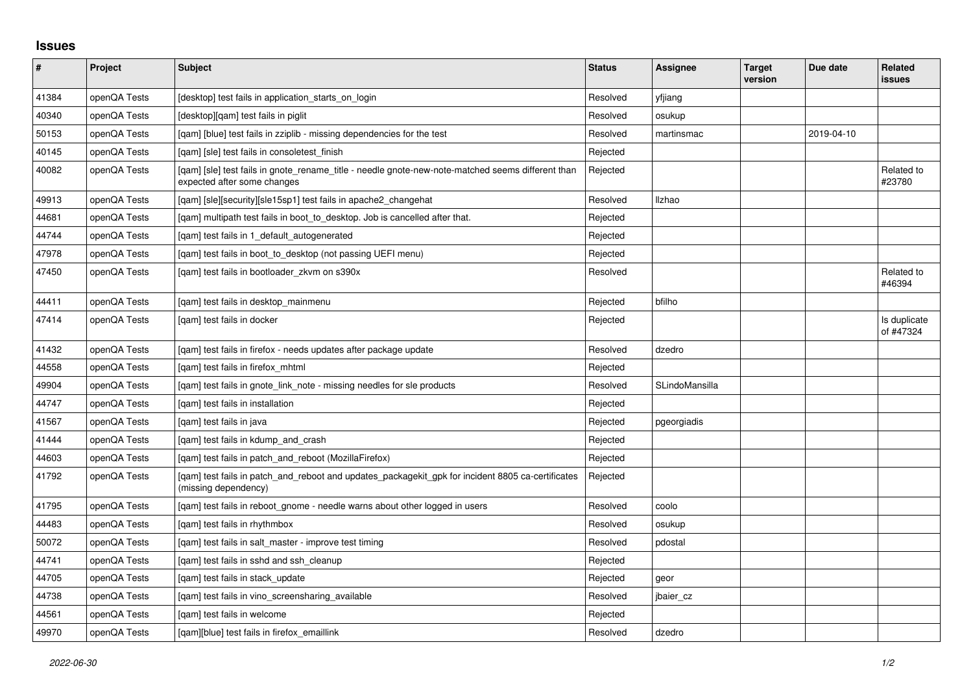## **Issues**

| $\sharp$ | Project      | <b>Subject</b>                                                                                                                   | <b>Status</b> | Assignee       | <b>Target</b><br>version | Due date   | Related<br><b>issues</b>  |
|----------|--------------|----------------------------------------------------------------------------------------------------------------------------------|---------------|----------------|--------------------------|------------|---------------------------|
| 41384    | openQA Tests | [desktop] test fails in application starts on login                                                                              | Resolved      | yfjiang        |                          |            |                           |
| 40340    | openQA Tests | [desktop][gam] test fails in piglit                                                                                              | Resolved      | osukup         |                          |            |                           |
| 50153    | openQA Tests | [qam] [blue] test fails in zziplib - missing dependencies for the test                                                           | Resolved      | martinsmac     |                          | 2019-04-10 |                           |
| 40145    | openQA Tests | [qam] [sle] test fails in consoletest_finish                                                                                     | Rejected      |                |                          |            |                           |
| 40082    | openQA Tests | [gam] [sle] test fails in gnote rename title - needle gnote-new-note-matched seems different than<br>expected after some changes | Rejected      |                |                          |            | Related to<br>#23780      |
| 49913    | openQA Tests | [qam] [sle][security][sle15sp1] test fails in apache2_changehat                                                                  | Resolved      | Ilzhao         |                          |            |                           |
| 44681    | openQA Tests | [gam] multipath test fails in boot to desktop. Job is cancelled after that.                                                      | Rejected      |                |                          |            |                           |
| 44744    | openQA Tests | [qam] test fails in 1_default_autogenerated                                                                                      | Rejected      |                |                          |            |                           |
| 47978    | openQA Tests | [gam] test fails in boot to desktop (not passing UEFI menu)                                                                      | Rejected      |                |                          |            |                           |
| 47450    | openQA Tests | [gam] test fails in bootloader zkvm on s390x                                                                                     | Resolved      |                |                          |            | Related to<br>#46394      |
| 44411    | openQA Tests | [qam] test fails in desktop_mainmenu                                                                                             | Rejected      | bfilho         |                          |            |                           |
| 47414    | openQA Tests | [gam] test fails in docker                                                                                                       | Rejected      |                |                          |            | Is duplicate<br>of #47324 |
| 41432    | openQA Tests | [gam] test fails in firefox - needs updates after package update                                                                 | Resolved      | dzedro         |                          |            |                           |
| 44558    | openQA Tests | [gam] test fails in firefox mhtml                                                                                                | Rejected      |                |                          |            |                           |
| 49904    | openQA Tests | [gam] test fails in gnote link note - missing needles for sle products                                                           | Resolved      | SLindoMansilla |                          |            |                           |
| 44747    | openQA Tests | [gam] test fails in installation                                                                                                 | Rejected      |                |                          |            |                           |
| 41567    | openQA Tests | [gam] test fails in java                                                                                                         | Rejected      | pgeorgiadis    |                          |            |                           |
| 41444    | openQA Tests | [qam] test fails in kdump_and_crash                                                                                              | Rejected      |                |                          |            |                           |
| 44603    | openQA Tests | [gam] test fails in patch and reboot (MozillaFirefox)                                                                            | Rejected      |                |                          |            |                           |
| 41792    | openQA Tests | [qam] test fails in patch_and_reboot and updates_packagekit_gpk for incident 8805 ca-certificates<br>(missing dependency)        | Rejected      |                |                          |            |                           |
| 41795    | openQA Tests | [qam] test fails in reboot_gnome - needle warns about other logged in users                                                      | Resolved      | coolo          |                          |            |                           |
| 44483    | openQA Tests | [gam] test fails in rhythmbox                                                                                                    | Resolved      | osukup         |                          |            |                           |
| 50072    | openQA Tests | [gam] test fails in salt master - improve test timing                                                                            | Resolved      | pdostal        |                          |            |                           |
| 44741    | openQA Tests | [gam] test fails in sshd and ssh cleanup                                                                                         | Rejected      |                |                          |            |                           |
| 44705    | openQA Tests | [qam] test fails in stack_update                                                                                                 | Rejected      | geor           |                          |            |                           |
| 44738    | openQA Tests | [gam] test fails in vino screensharing available                                                                                 | Resolved      | jbaier_cz      |                          |            |                           |
| 44561    | openQA Tests | [qam] test fails in welcome                                                                                                      | Rejected      |                |                          |            |                           |
| 49970    | openQA Tests | [gam][blue] test fails in firefox emaillink                                                                                      | Resolved      | dzedro         |                          |            |                           |